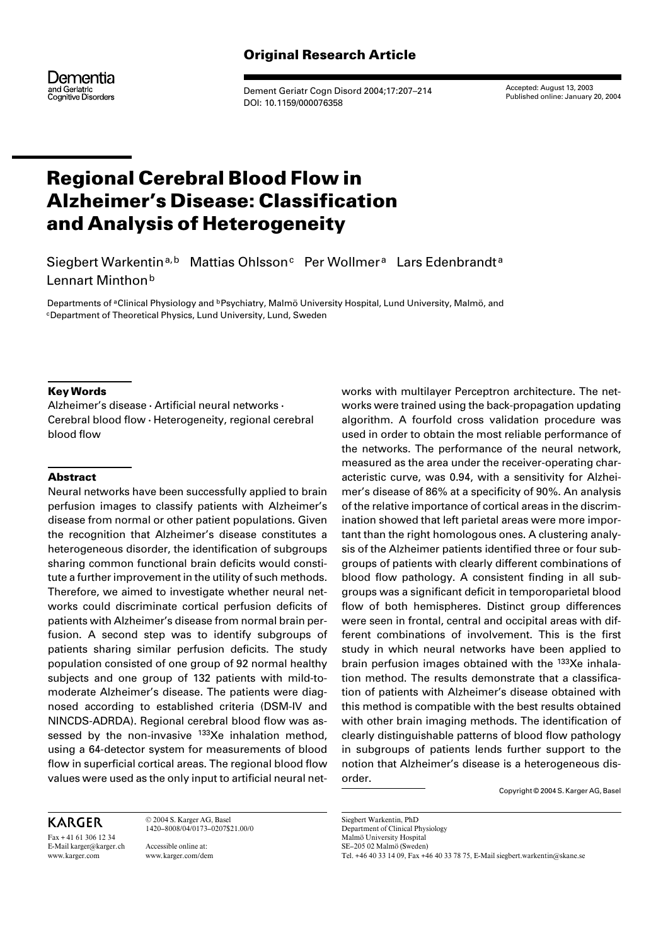Dementia and Gerlatric<br>Cognitive Disorders

Dement Geriatr Cogn Disord 2004;17:207–214 DOI: 10.1159/000076358

Accepted: August 13, 2003 Published online: January 20, 2004

# **Regional Cerebral Blood Flow in Alzheimer's Disease: Classification and Analysis of Heterogeneity**

Siegbert Warkentin<sup>a,b</sup> Mattias Ohlsson<sup>c</sup> Per Wollmer<sup>a</sup> Lars Edenbrandt<sup>a</sup> Lennart Minthon<sup>b</sup>

Departments of <sup>a</sup>Clinical Physiology and <sup>b</sup>Psychiatry, Malmö University Hospital, Lund University, Malmö, and cDepartment of Theoretical Physics, Lund University, Lund, Sweden

# **Key Words**

Alzheimer's disease  $\cdot$  Artificial neural networks  $\cdot$ Cerebral blood flow  $\cdot$  Heterogeneity, regional cerebral blood flow

## **Abstract**

Neural networks have been successfully applied to brain perfusion images to classify patients with Alzheimer's disease from normal or other patient populations. Given the recognition that Alzheimer's disease constitutes a heterogeneous disorder, the identification of subgroups sharing common functional brain deficits would constitute a further improvement in the utility of such methods. Therefore, we aimed to investigate whether neural networks could discriminate cortical perfusion deficits of patients with Alzheimer's disease from normal brain perfusion. A second step was to identify subgroups of patients sharing similar perfusion deficits. The study population consisted of one group of 92 normal healthy subjects and one group of 132 patients with mild-tomoderate Alzheimer's disease. The patients were diagnosed according to established criteria (DSM-IV and NINCDS-ADRDA). Regional cerebral blood flow was assessed by the non-invasive <sup>133</sup>Xe inhalation method, using a 64-detector system for measurements of blood flow in superficial cortical areas. The regional blood flow values were used as the only input to artificial neural net-

**KARGER** 

Fax + 41 61 306 12 34 E-Mail karger@karger.ch www.karger.com

© 2004 S. Karger AG, Basel 1420–8008/04/0173–0207\$21.00/0 Accessible online at: www.karger.com/dem

works with multilayer Perceptron architecture. The networks were trained using the back-propagation updating algorithm. A fourfold cross validation procedure was used in order to obtain the most reliable performance of the networks. The performance of the neural network, measured as the area under the receiver-operating characteristic curve, was 0.94, with a sensitivity for Alzheimer's disease of 86% at a specificity of 90%. An analysis of the relative importance of cortical areas in the discrimination showed that left parietal areas were more important than the right homologous ones. A clustering analysis of the Alzheimer patients identified three or four subgroups of patients with clearly different combinations of blood flow pathology. A consistent finding in all subgroups was a significant deficit in temporoparietal blood flow of both hemispheres. Distinct group differences were seen in frontal, central and occipital areas with different combinations of involvement. This is the first study in which neural networks have been applied to brain perfusion images obtained with the <sup>133</sup>Xe inhalation method. The results demonstrate that a classification of patients with Alzheimer's disease obtained with this method is compatible with the best results obtained with other brain imaging methods. The identification of clearly distinguishable patterns of blood flow pathology in subgroups of patients lends further support to the notion that Alzheimer's disease is a heterogeneous disorder.

Copyright © 2004 S. Karger AG, Basel

Siegbert Warkentin, PhD Department of Clinical Physiology Malmö University Hospital SE–205 02 Malmö (Sweden) Tel. +46 40 33 14 09, Fax +46 40 33 78 75, E-Mail siegbert.warkentin@skane.se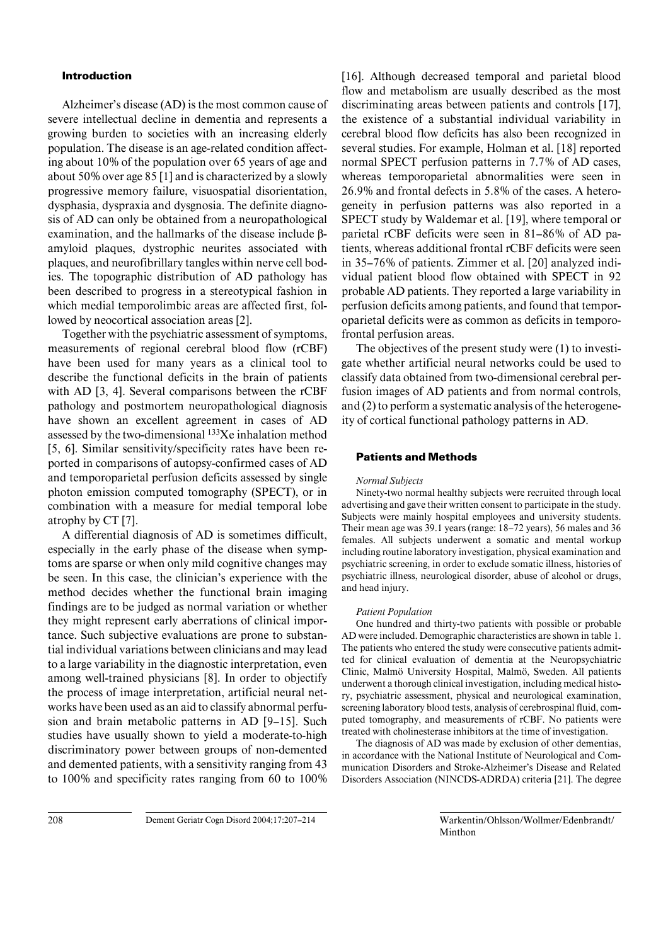## **Introduction**

Alzheimer's disease (AD) is the most common cause of severe intellectual decline in dementia and represents a growing burden to societies with an increasing elderly population. The disease is an age-related condition affecting about 10% of the population over 65 years of age and about 50% over age 85 [1] and is characterized by a slowly progressive memory failure, visuospatial disorientation, dysphasia, dyspraxia and dysgnosia. The definite diagnosis of AD can only be obtained from a neuropathological examination, and the hallmarks of the disease include  $\beta$ amyloid plaques, dystrophic neurites associated with plaques, and neurofibrillary tangles within nerve cell bodies. The topographic distribution of AD pathology has been described to progress in a stereotypical fashion in which medial temporolimbic areas are affected first, followed by neocortical association areas [2].

Together with the psychiatric assessment of symptoms, measurements of regional cerebral blood flow (rCBF) have been used for many years as a clinical tool to describe the functional deficits in the brain of patients with AD [3, 4]. Several comparisons between the rCBF pathology and postmortem neuropathological diagnosis have shown an excellent agreement in cases of AD assessed by the two-dimensional 133Xe inhalation method [5, 6]. Similar sensitivity/specificity rates have been reported in comparisons of autopsy-confirmed cases of AD and temporoparietal perfusion deficits assessed by single photon emission computed tomography (SPECT), or in combination with a measure for medial temporal lobe atrophy by CT [7].

A differential diagnosis of AD is sometimes difficult, especially in the early phase of the disease when symptoms are sparse or when only mild cognitive changes may be seen. In this case, the clinician's experience with the method decides whether the functional brain imaging findings are to be judged as normal variation or whether they might represent early aberrations of clinical importance. Such subjective evaluations are prone to substantial individual variations between clinicians and may lead to a large variability in the diagnostic interpretation, even among well-trained physicians [8]. In order to objectify the process of image interpretation, artificial neural networks have been used as an aid to classify abnormal perfusion and brain metabolic patterns in AD [9–15]. Such studies have usually shown to yield a moderate-to-high discriminatory power between groups of non-demented and demented patients, with a sensitivity ranging from 43 to 100% and specificity rates ranging from 60 to 100%

[16]. Although decreased temporal and parietal blood flow and metabolism are usually described as the most discriminating areas between patients and controls [17], the existence of a substantial individual variability in cerebral blood flow deficits has also been recognized in several studies. For example, Holman et al. [18] reported normal SPECT perfusion patterns in 7.7% of AD cases, whereas temporoparietal abnormalities were seen in 26.9% and frontal defects in 5.8% of the cases. A heterogeneity in perfusion patterns was also reported in a SPECT study by Waldemar et al. [19], where temporal or parietal rCBF deficits were seen in 81–86% of AD patients, whereas additional frontal rCBF deficits were seen in 35–76% of patients. Zimmer et al. [20] analyzed individual patient blood flow obtained with SPECT in 92 probable AD patients. They reported a large variability in perfusion deficits among patients, and found that temporoparietal deficits were as common as deficits in temporofrontal perfusion areas.

The objectives of the present study were (1) to investigate whether artificial neural networks could be used to classify data obtained from two-dimensional cerebral perfusion images of AD patients and from normal controls, and (2) to perform a systematic analysis of the heterogeneity of cortical functional pathology patterns in AD.

## **Patients and Methods**

#### *Normal Subjects*

Ninety-two normal healthy subjects were recruited through local advertising and gave their written consent to participate in the study. Subjects were mainly hospital employees and university students. Their mean age was 39.1 years (range: 18–72 years), 56 males and 36 females. All subjects underwent a somatic and mental workup including routine laboratory investigation, physical examination and psychiatric screening, in order to exclude somatic illness, histories of psychiatric illness, neurological disorder, abuse of alcohol or drugs, and head injury.

#### *Patient Population*

One hundred and thirty-two patients with possible or probable AD were included. Demographic characteristics are shown in table 1. The patients who entered the study were consecutive patients admitted for clinical evaluation of dementia at the Neuropsychiatric Clinic, Malmö University Hospital, Malmö, Sweden. All patients underwent a thorough clinical investigation, including medical history, psychiatric assessment, physical and neurological examination, screening laboratory blood tests, analysis of cerebrospinal fluid, computed tomography, and measurements of rCBF. No patients were treated with cholinesterase inhibitors at the time of investigation.

The diagnosis of AD was made by exclusion of other dementias, in accordance with the National Institute of Neurological and Communication Disorders and Stroke-Alzheimer's Disease and Related Disorders Association (NINCDS-ADRDA) criteria [21]. The degree

208 Dement Geriatr Cogn Disord 2004;17:207–214 Warkentin/Ohlsson/Wollmer/Edenbrandt/ Minthon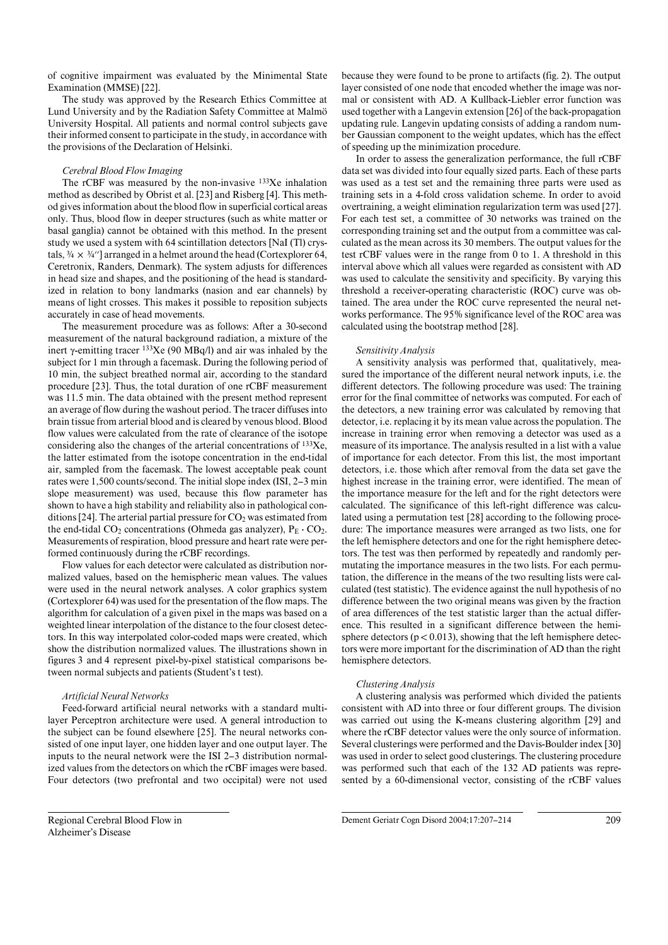of cognitive impairment was evaluated by the Minimental State Examination (MMSE) [22].

The study was approved by the Research Ethics Committee at Lund University and by the Radiation Safety Committee at Malmö University Hospital. All patients and normal control subjects gave their informed consent to participate in the study, in accordance with the provisions of the Declaration of Helsinki.

### *Cerebral Blood Flow Imaging*

The rCBF was measured by the non-invasive  $133Xe$  inhalation method as described by Obrist et al. [23] and Risberg [4]. This method gives information about the blood flow in superficial cortical areas only. Thus, blood flow in deeper structures (such as white matter or basal ganglia) cannot be obtained with this method. In the present study we used a system with 64 scintillation detectors [NaI (Tl) crystals,  $\frac{3}{4} \times \frac{3}{4}$  arranged in a helmet around the head (Cortexplorer 64, Ceretronix, Randers, Denmark). The system adjusts for differences in head size and shapes, and the positioning of the head is standardized in relation to bony landmarks (nasion and ear channels) by means of light crosses. This makes it possible to reposition subjects accurately in case of head movements.

The measurement procedure was as follows: After a 30-second measurement of the natural background radiation, a mixture of the inert  $\gamma$ -emitting tracer <sup>133</sup>Xe (90 MBq/l) and air was inhaled by the subject for 1 min through a facemask. During the following period of 10 min, the subject breathed normal air, according to the standard procedure [23]. Thus, the total duration of one rCBF measurement was 11.5 min. The data obtained with the present method represent an average of flow during the washout period. The tracer diffuses into brain tissue from arterial blood and is cleared by venous blood. Blood flow values were calculated from the rate of clearance of the isotope considering also the changes of the arterial concentrations of 133Xe, the latter estimated from the isotope concentration in the end-tidal air, sampled from the facemask. The lowest acceptable peak count rates were 1,500 counts/second. The initial slope index (ISI, 2–3 min slope measurement) was used, because this flow parameter has shown to have a high stability and reliability also in pathological conditions [24]. The arterial partial pressure for  $CO<sub>2</sub>$  was estimated from the end-tidal  $CO_2$  concentrations (Ohmeda gas analyzer),  $P_E \cdot CO_2$ . Measurements of respiration, blood pressure and heart rate were performed continuously during the rCBF recordings.

Flow values for each detector were calculated as distribution normalized values, based on the hemispheric mean values. The values were used in the neural network analyses. A color graphics system (Cortexplorer 64) was used for the presentation of the flow maps. The algorithm for calculation of a given pixel in the maps was based on a weighted linear interpolation of the distance to the four closest detectors. In this way interpolated color-coded maps were created, which show the distribution normalized values. The illustrations shown in figures 3 and 4 represent pixel-by-pixel statistical comparisons between normal subjects and patients (Student's t test).

#### *Artificial Neural Networks*

Feed-forward artificial neural networks with a standard multilayer Perceptron architecture were used. A general introduction to the subject can be found elsewhere [25]. The neural networks consisted of one input layer, one hidden layer and one output layer. The inputs to the neural network were the ISI 2–3 distribution normalized values from the detectors on which the rCBF images were based. Four detectors (two prefrontal and two occipital) were not used

Regional Cerebral Blood Flow in Alzheimer's Disease

because they were found to be prone to artifacts (fig. 2). The output layer consisted of one node that encoded whether the image was normal or consistent with AD. A Kullback-Liebler error function was used together with a Langevin extension [26] of the back-propagation updating rule. Langevin updating consists of adding a random number Gaussian component to the weight updates, which has the effect of speeding up the minimization procedure.

In order to assess the generalization performance, the full rCBF data set was divided into four equally sized parts. Each of these parts was used as a test set and the remaining three parts were used as training sets in a 4-fold cross validation scheme. In order to avoid overtraining, a weight elimination regularization term was used [27]. For each test set, a committee of 30 networks was trained on the corresponding training set and the output from a committee was calculated as the mean across its 30 members. The output values for the test rCBF values were in the range from 0 to 1. A threshold in this interval above which all values were regarded as consistent with AD was used to calculate the sensitivity and specificity. By varying this threshold a receiver-operating characteristic (ROC) curve was obtained. The area under the ROC curve represented the neural networks performance. The 95% significance level of the ROC area was calculated using the bootstrap method [28].

#### *Sensitivity Analysis*

A sensitivity analysis was performed that, qualitatively, measured the importance of the different neural network inputs, i.e. the different detectors. The following procedure was used: The training error for the final committee of networks was computed. For each of the detectors, a new training error was calculated by removing that detector, i.e. replacing it by its mean value across the population. The increase in training error when removing a detector was used as a measure of its importance. The analysis resulted in a list with a value of importance for each detector. From this list, the most important detectors, i.e. those which after removal from the data set gave the highest increase in the training error, were identified. The mean of the importance measure for the left and for the right detectors were calculated. The significance of this left-right difference was calculated using a permutation test [28] according to the following procedure: The importance measures were arranged as two lists, one for the left hemisphere detectors and one for the right hemisphere detectors. The test was then performed by repeatedly and randomly permutating the importance measures in the two lists. For each permutation, the difference in the means of the two resulting lists were calculated (test statistic). The evidence against the null hypothesis of no difference between the two original means was given by the fraction of area differences of the test statistic larger than the actual difference. This resulted in a significant difference between the hemisphere detectors ( $p < 0.013$ ), showing that the left hemisphere detectors were more important for the discrimination of AD than the right hemisphere detectors.

## *Clustering Analysis*

A clustering analysis was performed which divided the patients consistent with AD into three or four different groups. The division was carried out using the K-means clustering algorithm [29] and where the rCBF detector values were the only source of information. Several clusterings were performed and the Davis-Boulder index [30] was used in order to select good clusterings. The clustering procedure was performed such that each of the 132 AD patients was represented by a 60-dimensional vector, consisting of the rCBF values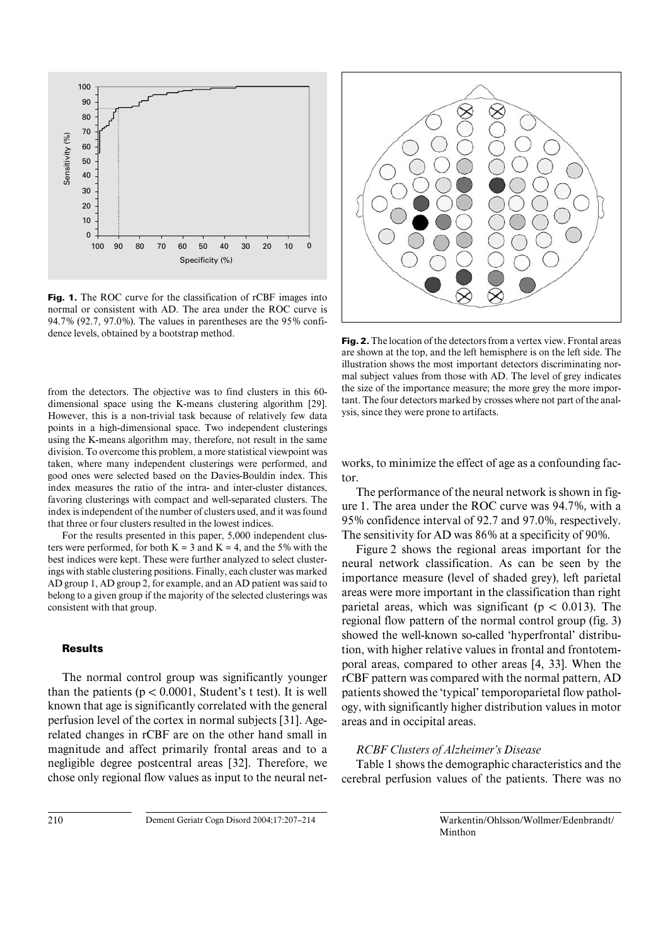

**Fig. 1.** The ROC curve for the classification of rCBF images into normal or consistent with AD. The area under the ROC curve is 94.7% (92.7, 97.0%). The values in parentheses are the 95% confidence levels, obtained by a bootstrap method.

from the detectors. The objective was to find clusters in this 60 dimensional space using the K-means clustering algorithm [29]. However, this is a non-trivial task because of relatively few data points in a high-dimensional space. Two independent clusterings using the K-means algorithm may, therefore, not result in the same division. To overcome this problem, a more statistical viewpoint was taken, where many independent clusterings were performed, and good ones were selected based on the Davies-Bouldin index. This index measures the ratio of the intra- and inter-cluster distances, favoring clusterings with compact and well-separated clusters. The index is independent of the number of clusters used, and it was found that three or four clusters resulted in the lowest indices.

For the results presented in this paper, 5,000 independent clusters were performed, for both  $K = 3$  and  $K = 4$ , and the 5% with the best indices were kept. These were further analyzed to select clusterings with stable clustering positions. Finally, each cluster was marked AD group 1, AD group 2, for example, and an AD patient was said to belong to a given group if the majority of the selected clusterings was consistent with that group.

## **Results**

The normal control group was significantly younger than the patients ( $p < 0.0001$ , Student's t test). It is well known that age is significantly correlated with the general perfusion level of the cortex in normal subjects [31]. Agerelated changes in rCBF are on the other hand small in magnitude and affect primarily frontal areas and to a negligible degree postcentral areas [32]. Therefore, we chose only regional flow values as input to the neural net-



**Fig. 2.** The location of the detectors from a vertex view. Frontal areas are shown at the top, and the left hemisphere is on the left side. The illustration shows the most important detectors discriminating normal subject values from those with AD. The level of grey indicates the size of the importance measure; the more grey the more important. The four detectors marked by crosses where not part of the analysis, since they were prone to artifacts.

works, to minimize the effect of age as a confounding factor.

The performance of the neural network is shown in figure 1. The area under the ROC curve was 94.7%, with a 95% confidence interval of 92.7 and 97.0%, respectively. The sensitivity for AD was 86% at a specificity of 90%.

Figure 2 shows the regional areas important for the neural network classification. As can be seen by the importance measure (level of shaded grey), left parietal areas were more important in the classification than right parietal areas, which was significant ( $p < 0.013$ ). The regional flow pattern of the normal control group (fig. 3) showed the well-known so-called 'hyperfrontal' distribution, with higher relative values in frontal and frontotemporal areas, compared to other areas [4, 33]. When the rCBF pattern was compared with the normal pattern, AD patients showed the 'typical' temporoparietal flow pathology, with significantly higher distribution values in motor areas and in occipital areas.

# *RCBF Clusters of Alzheimer's Disease*

Table 1 shows the demographic characteristics and the cerebral perfusion values of the patients. There was no

210 Dement Geriatr Cogn Disord 2004;17:207–214 Warkentin/Ohlsson/Wollmer/Edenbrandt/ Minthon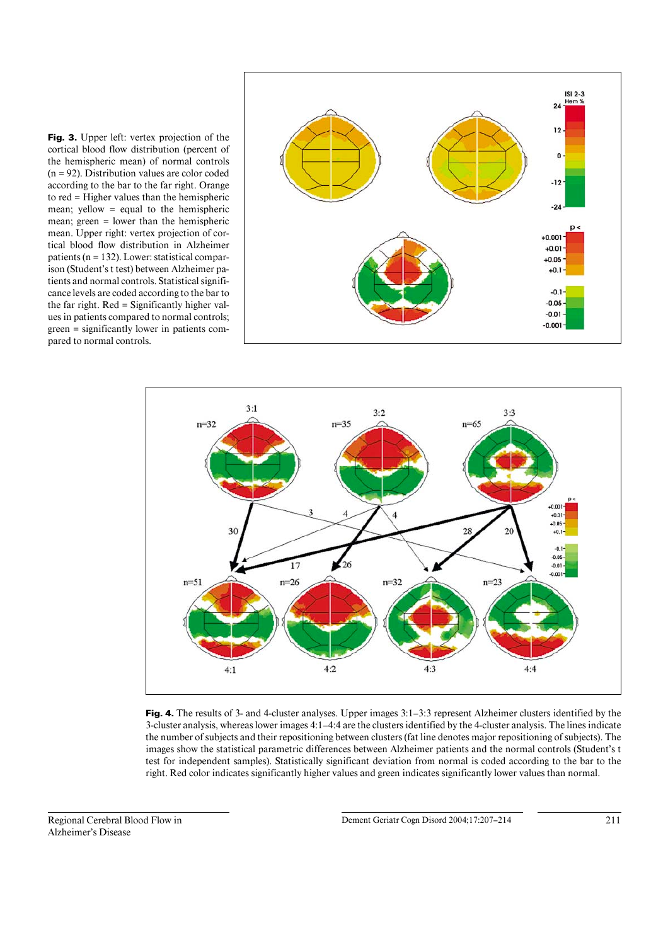**Fig. 3.** Upper left: vertex projection of the cortical blood flow distribution (percent of the hemispheric mean) of normal controls  $(n = 92)$ . Distribution values are color coded according to the bar to the far right. Orange to red = Higher values than the hemispheric mean; yellow = equal to the hemispheric mean; green = lower than the hemispheric mean. Upper right: vertex projection of cortical blood flow distribution in Alzheimer patients (n = 132). Lower: statistical comparison (Student's t test) between Alzheimer patients and normal controls. Statistical significance levels are coded according to the bar to the far right. Red = Significantly higher values in patients compared to normal controls; green = significantly lower in patients compared to normal controls.





**Fig. 4.** The results of 3- and 4-cluster analyses. Upper images 3:1–3:3 represent Alzheimer clusters identified by the 3-cluster analysis, whereas lower images 4:1–4:4 are the clusters identified by the 4-cluster analysis. The lines indicate the number of subjects and their repositioning between clusters (fat line denotes major repositioning of subjects). The images show the statistical parametric differences between Alzheimer patients and the normal controls (Student's t test for independent samples). Statistically significant deviation from normal is coded according to the bar to the right. Red color indicates significantly higher values and green indicates significantly lower values than normal.

Regional Cerebral Blood Flow in Alzheimer's Disease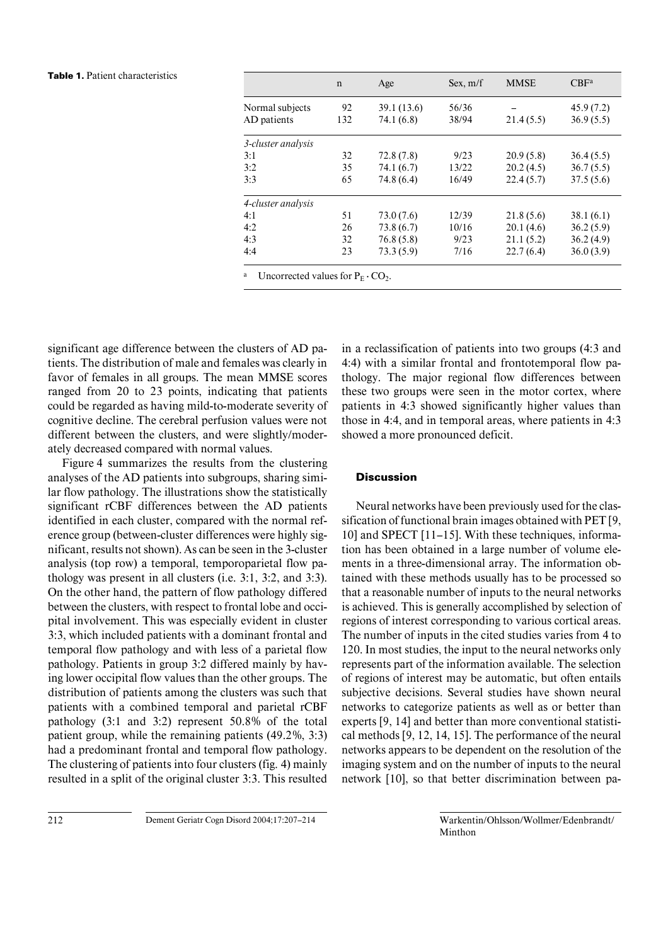|                    | $\mathbf n$ | Age         | Sex, m/f | MMSE      | CBF <sup>a</sup> |
|--------------------|-------------|-------------|----------|-----------|------------------|
| Normal subjects    | 92          | 39.1 (13.6) | 56/36    |           | 45.9(7.2)        |
| AD patients        | 132         | 74.1 (6.8)  | 38/94    | 21.4(5.5) | 36.9(5.5)        |
| 3-cluster analysis |             |             |          |           |                  |
| 3:1                | 32          | 72.8(7.8)   | 9/23     | 20.9(5.8) | 36.4(5.5)        |
| 3:2                | 35          | 74.1(6.7)   | 13/22    | 20.2(4.5) | 36.7(5.5)        |
| 3:3                | 65          | 74.8(6.4)   | 16/49    | 22.4(5.7) | 37.5(5.6)        |
| 4-cluster analysis |             |             |          |           |                  |
| 4:1                | 51          | 73.0 (7.6)  | 12/39    | 21.8(5.6) | 38.1(6.1)        |
| 4:2                | 26          | 73.8 (6.7)  | 10/16    | 20.1(4.6) | 36.2(5.9)        |
| 4:3                | 32          | 76.8(5.8)   | 9/23     | 21.1(5.2) | 36.2(4.9)        |
| 4:4                | 23          | 73.3(5.9)   | 7/16     | 22.7(6.4) | 36.0(3.9)        |

significant age difference between the clusters of AD patients. The distribution of male and females was clearly in favor of females in all groups. The mean MMSE scores ranged from 20 to 23 points, indicating that patients could be regarded as having mild-to-moderate severity of cognitive decline. The cerebral perfusion values were not different between the clusters, and were slightly/moderately decreased compared with normal values.

Figure 4 summarizes the results from the clustering analyses of the AD patients into subgroups, sharing similar flow pathology. The illustrations show the statistically significant rCBF differences between the AD patients identified in each cluster, compared with the normal reference group (between-cluster differences were highly significant, results not shown). As can be seen in the 3-cluster analysis (top row) a temporal, temporoparietal flow pathology was present in all clusters (i.e. 3:1, 3:2, and 3:3). On the other hand, the pattern of flow pathology differed between the clusters, with respect to frontal lobe and occipital involvement. This was especially evident in cluster 3:3, which included patients with a dominant frontal and temporal flow pathology and with less of a parietal flow pathology. Patients in group 3:2 differed mainly by having lower occipital flow values than the other groups. The distribution of patients among the clusters was such that patients with a combined temporal and parietal rCBF pathology (3:1 and 3:2) represent 50.8% of the total patient group, while the remaining patients (49.2%, 3:3) had a predominant frontal and temporal flow pathology. The clustering of patients into four clusters (fig. 4) mainly resulted in a split of the original cluster 3:3. This resulted

in a reclassification of patients into two groups (4:3 and 4:4) with a similar frontal and frontotemporal flow pathology. The major regional flow differences between these two groups were seen in the motor cortex, where patients in 4:3 showed significantly higher values than those in 4:4, and in temporal areas, where patients in 4:3 showed a more pronounced deficit.

# **Discussion**

Neural networks have been previously used for the classification of functional brain images obtained with PET [9, 10] and SPECT [11–15]. With these techniques, information has been obtained in a large number of volume elements in a three-dimensional array. The information obtained with these methods usually has to be processed so that a reasonable number of inputs to the neural networks is achieved. This is generally accomplished by selection of regions of interest corresponding to various cortical areas. The number of inputs in the cited studies varies from 4 to 120. In most studies, the input to the neural networks only represents part of the information available. The selection of regions of interest may be automatic, but often entails subjective decisions. Several studies have shown neural networks to categorize patients as well as or better than experts [9, 14] and better than more conventional statistical methods [9, 12, 14, 15]. The performance of the neural networks appears to be dependent on the resolution of the imaging system and on the number of inputs to the neural network [10], so that better discrimination between pa-

Minthon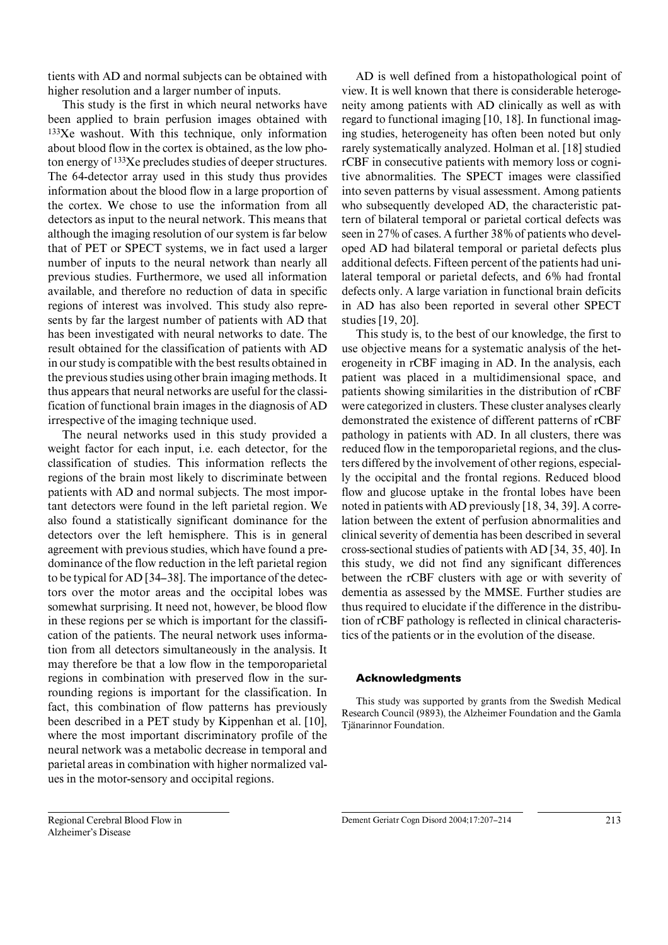tients with AD and normal subjects can be obtained with higher resolution and a larger number of inputs.

This study is the first in which neural networks have been applied to brain perfusion images obtained with 133Xe washout. With this technique, only information about blood flow in the cortex is obtained, as the low photon energy of 133Xe precludes studies of deeper structures. The 64-detector array used in this study thus provides information about the blood flow in a large proportion of the cortex. We chose to use the information from all detectors as input to the neural network. This means that although the imaging resolution of our system is far below that of PET or SPECT systems, we in fact used a larger number of inputs to the neural network than nearly all previous studies. Furthermore, we used all information available, and therefore no reduction of data in specific regions of interest was involved. This study also represents by far the largest number of patients with AD that has been investigated with neural networks to date. The result obtained for the classification of patients with AD in our study is compatible with the best results obtained in the previous studies using other brain imaging methods. It thus appears that neural networks are useful for the classification of functional brain images in the diagnosis of AD irrespective of the imaging technique used.

The neural networks used in this study provided a weight factor for each input, i.e. each detector, for the classification of studies. This information reflects the regions of the brain most likely to discriminate between patients with AD and normal subjects. The most important detectors were found in the left parietal region. We also found a statistically significant dominance for the detectors over the left hemisphere. This is in general agreement with previous studies, which have found a predominance of the flow reduction in the left parietal region to be typical for AD [34–38]. The importance of the detectors over the motor areas and the occipital lobes was somewhat surprising. It need not, however, be blood flow in these regions per se which is important for the classification of the patients. The neural network uses information from all detectors simultaneously in the analysis. It may therefore be that a low flow in the temporoparietal regions in combination with preserved flow in the surrounding regions is important for the classification. In fact, this combination of flow patterns has previously been described in a PET study by Kippenhan et al. [10], where the most important discriminatory profile of the neural network was a metabolic decrease in temporal and parietal areas in combination with higher normalized values in the motor-sensory and occipital regions.

AD is well defined from a histopathological point of view. It is well known that there is considerable heterogeneity among patients with AD clinically as well as with regard to functional imaging [10, 18]. In functional imaging studies, heterogeneity has often been noted but only rarely systematically analyzed. Holman et al. [18] studied rCBF in consecutive patients with memory loss or cognitive abnormalities. The SPECT images were classified into seven patterns by visual assessment. Among patients who subsequently developed AD, the characteristic pattern of bilateral temporal or parietal cortical defects was seen in 27% of cases. A further 38% of patients who developed AD had bilateral temporal or parietal defects plus additional defects. Fifteen percent of the patients had unilateral temporal or parietal defects, and 6% had frontal defects only. A large variation in functional brain deficits in AD has also been reported in several other SPECT studies [19, 20].

This study is, to the best of our knowledge, the first to use objective means for a systematic analysis of the heterogeneity in rCBF imaging in AD. In the analysis, each patient was placed in a multidimensional space, and patients showing similarities in the distribution of rCBF were categorized in clusters. These cluster analyses clearly demonstrated the existence of different patterns of rCBF pathology in patients with AD. In all clusters, there was reduced flow in the temporoparietal regions, and the clusters differed by the involvement of other regions, especially the occipital and the frontal regions. Reduced blood flow and glucose uptake in the frontal lobes have been noted in patients with AD previously [18, 34, 39]. A correlation between the extent of perfusion abnormalities and clinical severity of dementia has been described in several cross-sectional studies of patients with AD [34, 35, 40]. In this study, we did not find any significant differences between the rCBF clusters with age or with severity of dementia as assessed by the MMSE. Further studies are thus required to elucidate if the difference in the distribution of rCBF pathology is reflected in clinical characteristics of the patients or in the evolution of the disease.

## **Acknowledgments**

This study was supported by grants from the Swedish Medical Research Council (9893), the Alzheimer Foundation and the Gamla Tjänarinnor Foundation.